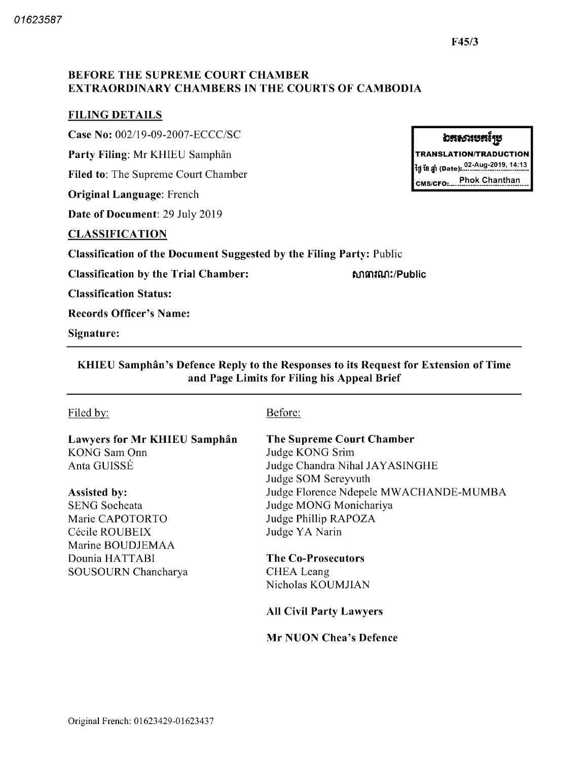# BEFORE THE SUPREME COURT CHAMBER EXTRAORDINARY CHAMBERS IN THE COURTS OF CAMBODIA

## FILING DETAILS

Case No: 002/19-09-2007-ECCC/SC

Party Filing: Mr KHIEU Samphân

Filed to: The Supreme Court Chamber

**Original Language:** French

Date of Document: 29 July 2019

### CLASSIFICATION

Classification of the Document Suggested by the Filing Party: Public

Classification by the Trial Chamber

សាធារណ:/Public

Classification Status

Records Officer's Name

Signature

KHIEU Samphân's Defence Reply to the Responses to its Request for Extension of Time and Page Limits for Filing his Appeal Brief

# Filed by: Before:

Lawyers for Mr KHIEU Samphân KONG Sam Onn Anta GUISSÉ

Assisted by SENG Socheata Marie CAPOTORTO Cécile ROUBEIX Marine BOUDJEMAA Dounia HATTABI SOUSOURN Chancharya

The Supreme Court Chamber Judge KONG Srim Judge Chandra Nihal JAYASINGHE Judge SOM Sereyvuth Judge Florence Ndepele MWACHANDE-MUMBA Judge MONG Monichariya Judge Phillip RAPOZA Judge YA Narin

The Co-Prosecutors CHEA Leang Nicholas KOUMJIAN

All Civil Party Lawyers

Mr NUON Chea's Defence

# **อสธวเ**ชสเ์ช

**TRANSLATION/TRADUCTION** 02 Aug 2019 14 13 tti 18 jjfl Date

CMS CFO Phok Chanthan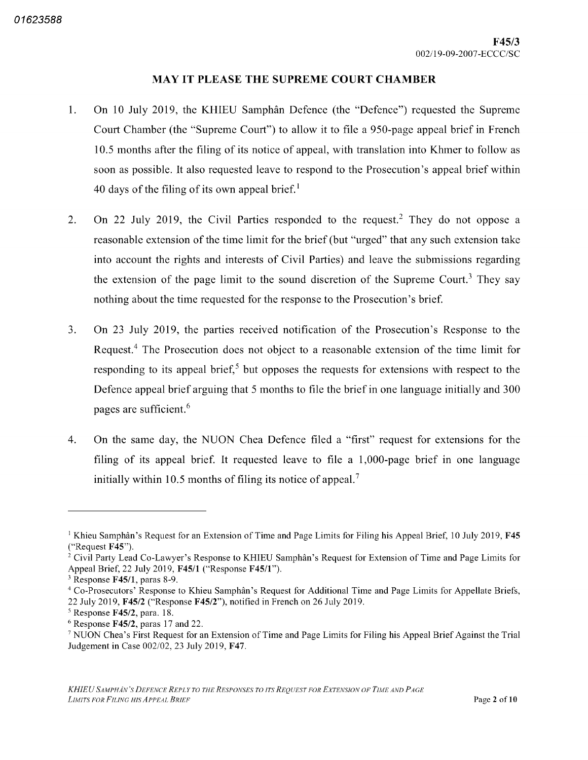### MAY IT PLEASE THE SUPREME COURT CHAMBER

- On 10 July 2019, the KHIEU Samphân Defence (the "Defence") requested the Supreme 1. Court Chamber (the "Supreme Court") to allow it to file a 950-page appeal brief in French 10.5 months after the filing of its notice of appeal, with translation into Khmer to follow as soon as possible. It also requested leave to respond to the Prosecution's appeal brief within 40 days of the filing of its own appeal brief.<sup>1</sup>
- On 22 July 2019, the Civil Parties responded to the request.<sup>2</sup> They do not oppose a 2. reasonable extension of the time limit for the brief (but "urged" that any such extension take into account the rights and interests of Civil Parties) and leave the submissions regarding the extension of the page limit to the sound discretion of the Supreme Court.<sup>3</sup> They say nothing about the time requested for the response to the Prosecution's brief
- On <sup>23</sup> July 2019 the parties received notification of the Prosecution's Response to the  $3<sub>1</sub>$ Request.<sup>4</sup> The Prosecution does not object to a reasonable extension of the time limit for responding to its appeal brief,<sup>5</sup> but opposes the requests for extensions with respect to the Defence appeal brief arguing that 5 months to file the brief in one language initially and 300 pages are sufficient
- $4.$ On the same day, the NUON Chea Defence filed a "first" request for extensions for the filing of its appeal brief. It requested leave to file a  $1,000$ -page brief in one language initially within 10.5 months of filing its notice of appeal.<sup>7</sup>

<sup>&</sup>lt;sup>1</sup> Khieu Samphân's Request for an Extension of Time and Page Limits for Filing his Appeal Brief, 10 July 2019, **F45** ("Request F45").

<sup>&</sup>lt;sup>2</sup> Civil Party Lead Co-Lawyer's Response to KHIEU Samphân's Request for Extension of Time and Page Limits for Appeal Brief, 22 July 2019, F45/1 ("Response F45/1").

 $3$  Response F45/1, paras 8-9.

Co Prosecutors' Response to Khieu Samphân's Request for Additional Time and Page Limits for Appellate Briefs 22 July 2019,  $F45/2$  ("Response  $F45/2$ "), notified in French on 26 July 2019.

Response F45/2, para. 18.

 $6$  Response F45/2, paras 17 and 22.

<sup>&</sup>lt;sup>7</sup> NUON Chea's First Request for an Extension of Time and Page Limits for Filing his Appeal Brief Against the Trial Judgement in Case  $002/02$ , 23 July 2019, F47.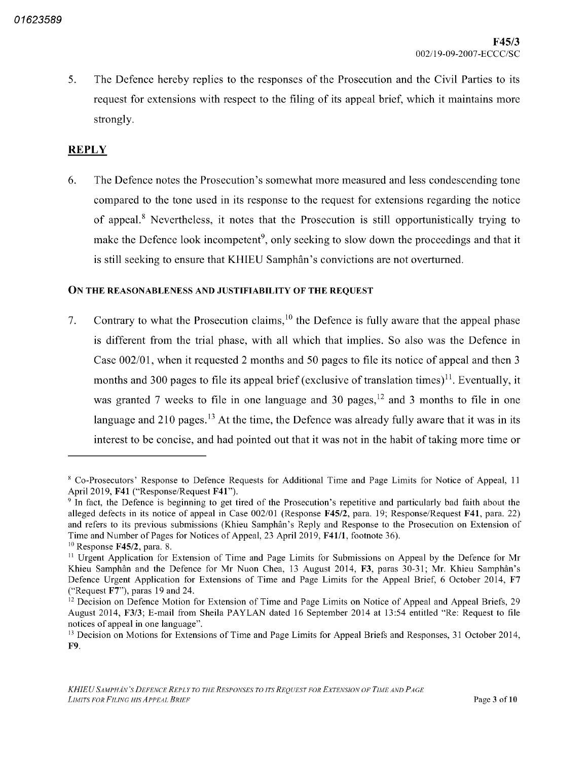5. The Defence hereby replies to the responses of the Prosecution and the Civil Parties to its request for extensions with respect to the filing of its appeal brief, which it maintains more strongly.

# **REPLY**

The Defence notes the Prosecution's somewhat more measured and less condescending tone 6. compared to the tone used in its response to the request for extensions regarding the notice of appeal.<sup>8</sup> Nevertheless, it notes that the Prosecution is still opportunistically trying to make the Defence look incompetent<sup>9</sup>, only seeking to slow down the proceedings and that it is still seeking to ensure that KHIEU Samphân's convictions are not overturned

#### On the reasonableness and justifiability of the request

7. Contrary to what the Prosecution claims,  $10$  the Defence is fully aware that the appeal phase is different from the trial phase, with all which that implies. So also was the Defence in Case  $002/01$ , when it requested 2 months and 50 pages to file its notice of appeal and then 3 months and 300 pages to file its appeal brief (exclusive of translation times) $\mathbf{u}$ . Eventually, it was granted 7 weeks to file in one language and 30 pages,  $12$  and 3 months to file in one language and  $210$  pages.<sup>13</sup> At the time, the Defence was already fully aware that it was in its interest to be concise, and had pointed out that it was not in the habit of taking more time or

<sup>&</sup>lt;sup>8</sup> Co-Prosecutors' Response to Defence Requests for Additional Time and Page Limits for Notice of Appeal, 11 April 2019, F41 ("Response/Request F41").

<sup>&</sup>lt;sup>9</sup> In fact, the Defence is beginning to get tired of the Prosecution's repetitive and particularly bad faith about the alleged defects in its notice of appeal in Case 002/01 (Response F45/2, para. 19; Response/Request F41, para. 22) and refers to its previous submissions Khieu Samphân's Reply and Response to the Prosecution on Extension of Time and Number of Pages for Notices of Appeal, 23 April 2019, F41/1, footnote 36).

 $^{10}$  Response F45/2, para.

<sup>&</sup>lt;sup>11</sup> Urgent Application for Extension of Time and Page Limits for Submissions on Appeal by the Defence for Mr Khieu Samphân and the Defence for Mr Nuon Chea, 13 August 2014, F3, paras 30-31; Mr. Khieu Samphân's Defence Urgent Application for Extensions of Time and Page Limits for the Appeal Brief, 6 October 2014, F7 "Request F7"), paras 19 and 24.

<sup>&</sup>lt;sup>12</sup> Decision on Defence Motion for Extension of Time and Page Limits on Notice of Appeal and Appeal Briefs, 29 August 2014, F3/3; E-mail from Sheila PAYLAN dated 16 September 2014 at 13:54 entitled "Re: Request to file notices of appeal in one language"

<sup>&</sup>lt;sup>13</sup> Decision on Motions for Extensions of Time and Page Limits for Appeal Briefs and Responses, 31 October 2014, F9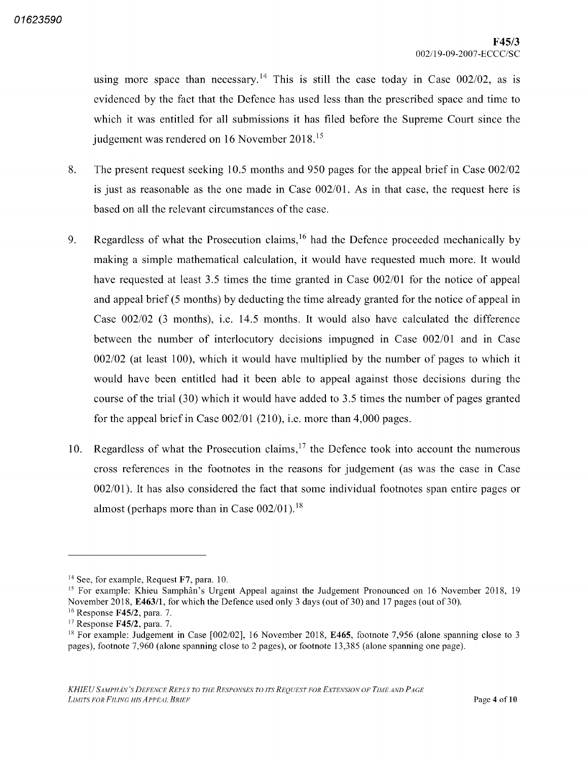using more space than necessary.<sup>14</sup> This is still the case today in Case  $002/02$ , as is evidenced by the fact that the Defence has used less than the prescribed space and time to which it was entitled for all submissions it has filed before the Supreme Court since the judgement was rendered on <sup>16</sup> November 2018 15

- 8. The present request seeking  $10.5$  months and  $950$  pages for the appeal brief in Case  $002/02$ is just as reasonable as the one made in Case  $002/01$ . As in that case, the request here is based on all the relevant circumstances of the case
- 9. Regardless of what the Prosecution claims,<sup>16</sup> had the Defence proceeded mechanically by making a simple mathematical calculation, it would have requested much more. It would have requested at least  $3.5$  times the time granted in Case  $002/01$  for the notice of appeal and appeal brief  $(5 \text{ months})$  by deducting the time already granted for the notice of appeal in Case  $002/02$  (3 months), i.e. 14.5 months. It would also have calculated the difference between the number of interlocutory decisions impugned in Case 002/01 and in Case  $002/02$  (at least 100), which it would have multiplied by the number of pages to which it would have been entitled had it been able to appeal against those decisions during the course of the trial  $(30)$  which it would have added to 3.5 times the number of pages granted for the appeal brief in Case  $002/01$  (210), i.e. more than 4,000 pages.
- 10. Regardless of what the Prosecution claims,  $17$  the Defence took into account the numerous cross references in the footnotes in the reasons for judgement (as was the case in Case  $002/01$ ). It has also considered the fact that some individual footnotes span entire pages or almost (perhaps more than in Case  $002/01$ ).<sup>18</sup>

 $14$  See, for example, Request F7, para. 10.

<sup>&</sup>lt;sup>15</sup> For example: Khieu Samphân's Urgent Appeal against the Judgement Pronounced on 16 November 2018, 19 November 2018, E463/1, for which the Defence used only 3 days (out of 30) and 17 pages (out of 30).

<sup>&</sup>lt;sup>16</sup> Response **F45/2**, para.

<sup>&</sup>lt;sup>17</sup> Response **F45/2**, para.

<sup>&</sup>lt;sup>18</sup> For example: Judgement in Case  $[002/02]$ , 16 November 2018, E465, footnote 7,956 (alone spanning close to pages), footnote 7,960 (alone spanning close to 2 pages), or footnote 13,385 (alone spanning one page).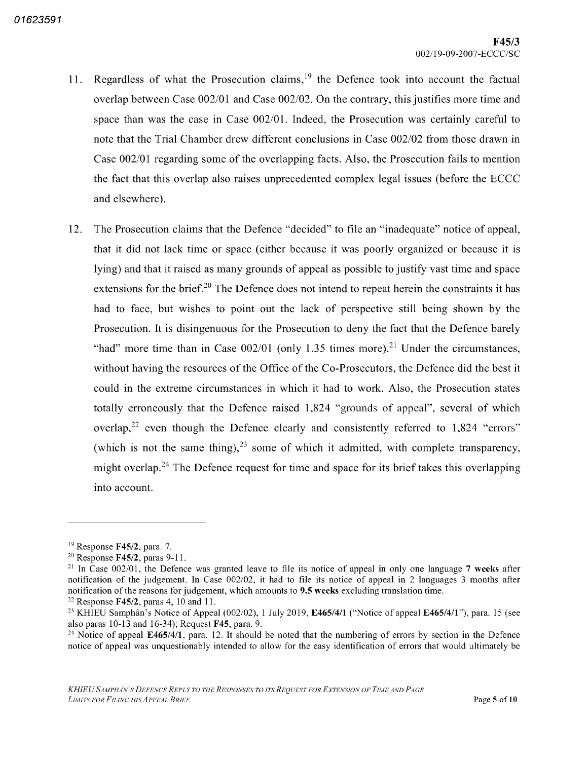- 11. Regardless of what the Prosecution claims,<sup>19</sup> the Defence took into account the factual overlap between Case 002/01 and Case 002/02. On the contrary, this justifies more time and space than was the case in Case 002/01. Indeed, the Prosecution was certainly careful to note that the Trial Chamber drew different conclusions in Case 002/02 from those drawn in Case  $002/01$  regarding some of the overlapping facts. Also, the Prosecution fails to mention the fact that this overlap also raises unprecedented complex legal issues (before the ECCC and elsewhere
- The Prosecution claims that the Defence "decided" to file an "inadequate" notice of appeal that it did not lack time or space (either because it was poorly organized or because it is lying) and that it raised as many grounds of appeal as possible to justify vast time and space extensions for the brief.<sup>20</sup> The Defence does not intend to repeat herein the constraints it has had to face, but wishes to point out the lack of perspective still being shown by the Prosecution. It is disingenuous for the Prosecution to deny the fact that the Defence barely "had" more time than in Case  $002/01$  (only 1.35 times more).<sup>21</sup> Under the circumstances, without having the resources of the Office of the Co-Prosecutors, the Defence did the best it could in the extreme circumstances in which it had to work. Also, the Prosecution states totally erroneously that the Defence raised 1,824 "grounds of appeal", several of which overlap,<sup>22</sup> even though the Defence clearly and consistently referred to  $1,824$  "errors" which is not the same thing), $^{23}$  some of which it admitted, with complete transparency, might overlap.<sup>24</sup> The Defence request for time and space for its brief takes this overlapping into account 12

<sup>&</sup>lt;sup>19</sup> Response **F45/2**, para.

 $20$  Response F45/2, paras 9-11.

<sup>&</sup>lt;sup>21</sup> In Case 002/01, the Defence was granted leave to file its notice of appeal in only one language 7 weeks after notification of the judgement. In Case 002/02, it had to file its notice of appeal in 2 languages 3 months after notification of the reasons for judgement, which amounts to 9.5 weeks excluding translation time.

<sup>&</sup>lt;sup>22</sup> Response **F45/2**, paras 4, 10 and 11.

<sup>&</sup>lt;sup>23</sup> KHIEU Samphân's Notice of Appeal (002/02), 1 July 2019, E465/4/1 ("Notice of appeal E465/4/1"), para. 15 (see also paras 10-13 and 16-34); Request F45, para.

<sup>&</sup>lt;sup>24</sup> Notice of appeal E465/4/1, para. 12. It should be noted that the numbering of errors by section in the Defence notice of appeal was unquestionably intended to allow for the easy identification of errors that would ultimately be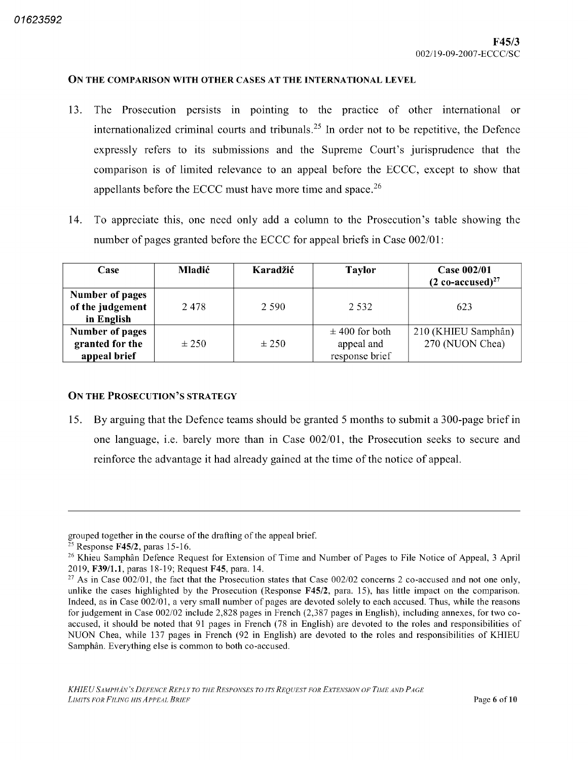#### On the comparison with other cases at the international level

- The Prosecution persists in pointing to the practice of other international or internationalized criminal courts and tribunals.<sup>25</sup> In order not to be repetitive, the Defence expressly refers to its submissions and the Supreme Court's jurisprudence that the comparison is of limited relevance to an appeal before the ECCC except to show that appellants before the ECCC must have more time and space.<sup>26</sup> 13
- To appreciate this one need only add column to the Prosecution's table showing the number of pages granted before the ECCC for appeal briefs in Case 002/01: 14

| Case                                                      | <b>Mladić</b> | Karadžić  | <b>Taylor</b>                                      | Case 002/01<br>$(2 \text{ co-accused})^{27}$ |
|-----------------------------------------------------------|---------------|-----------|----------------------------------------------------|----------------------------------------------|
| <b>Number of pages</b><br>of the judgement<br>in English  | 2478          | 2.590     | 2.532                                              | 623                                          |
| <b>Number of pages</b><br>granted for the<br>appeal brief | $\pm 250$     | $\pm 250$ | $\pm$ 400 for both<br>appeal and<br>response brief | 210 (KHIEU Samphân)<br>270 (NUON Chea)       |

#### On the Prosecution's strategy

15. By arguing that the Defence teams should be granted 5 months to submit a 300-page brief in one language, i.e. barely more than in Case  $002/01$ , the Prosecution seeks to secure and reinforce the advantage it had already gained at the time of the notice of appeal

grouped together in the course of the drafting of the appeal brief

<sup>&</sup>lt;sup>25</sup> Response **F45/2**, paras 15-16.

<sup>&</sup>lt;sup>26</sup> Khieu Samphân Defence Request for Extension of Time and Number of Pages to File Notice of Appeal, 3 April 2019, F39/1.1, paras 18-19; Request F45, para. 14.

<sup>&</sup>lt;sup>27</sup> As in Case 002/01, the fact that the Prosecution states that Case 002/02 concerns 2 co-accused and not one only, unlike the cases highlighted by the Prosecution (Response  $F45/2$ , para. 15), has little impact on the comparison. Indeed, as in Case 002/01, a very small number of pages are devoted solely to each accused. Thus, while the reasons for judgement in Case 002/02 include 2,828 pages in French (2,387 pages in English), including annexes, for two coaccused, it should be noted that 91 pages in French (78 in English) are devoted to the roles and responsibilities of NUON Chea, while 137 pages in French (92 in English) are devoted to the roles and responsibilities of KHIEU Samphân. Everything else is common to both co-accused.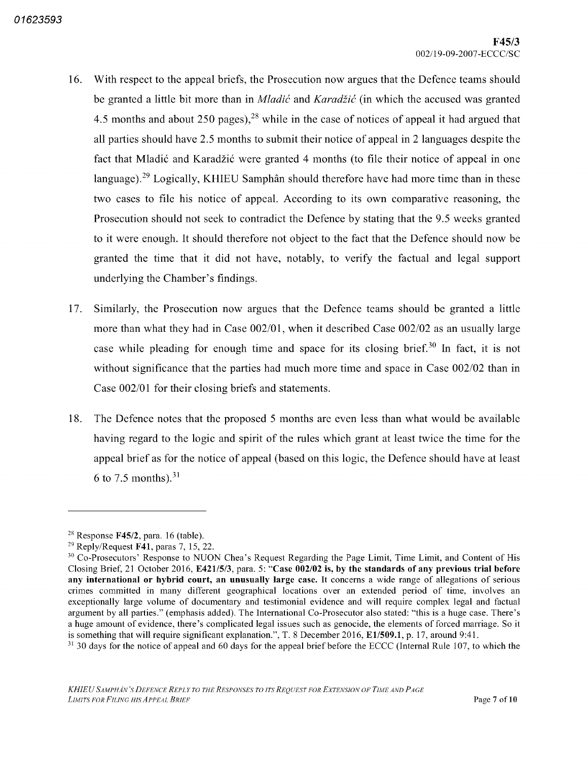- 16. With respect to the appeal briefs, the Prosecution now argues that the Defence teams should be granted a little bit more than in *Mladić* and *Karadžić* (in which the accused was granted months and about 250 pages),  $28$  while in the case of notices of appeal it had argued that all parties should have 2.5 months to submit their notice of appeal in 2 languages despite the fact that Mladić and Karadžić were granted 4 months (to file their notice of appeal in one language).<sup>29</sup> Logically, KHIEU Samphân should therefore have had more time than in these two cases to file his notice of appeal. According to its own comparative reasoning, the Prosecution should not seek to contradict the Defence by stating that the 9.5 weeks granted to it were enough It should therefore not object to the fact that the Defence should now be granted the time that it did not have, notably, to verify the factual and legal support underlying the Chamber's findings
- Similarly, the Prosecution now argues that the Defence teams should be granted a little more than what they had in Case 002/01, when it described Case 002/02 as an usually large case while pleading for enough time and space for its closing brief.<sup>30</sup> In fact, it is not without significance that the parties had much more time and space in Case 002/02 than in Case  $002/01$  for their closing briefs and statements. 17
- 18. The Defence notes that the proposed 5 months are even less than what would be available having regard to the logic and spirit of the rules which grant at least twice the time for the appeal brief as for the notice of appeal (based on this logic, the Defence should have at least to 7.5 months). $31$

 $^{28}$  Response F45/2, para. 16 (table)

 $29$  Reply/Request F41, paras 7, 15, 22.

<sup>&</sup>lt;sup>30</sup> Co-Prosecutors' Response to NUON Chea's Request Regarding the Page Limit, Time Limit, and Content of His Closing Brief, 21 October 2016, E421/5/3, para. 5: "Case 002/02 is, by the standards of any previous trial before any international or hybrid court, an unusually large case. It concerns a wide range of allegations of serious crimes committed in many different geographical locations over an extended period of time, involves an exceptionally large volume of documentary and testimonial evidence and will require complex legal and factual argument by all parties." (emphasis added). The International Co-Prosecutor also stated: "this is a huge case. There's a huge amount of evidence, there's complicated legal issues such as genocide, the elements of forced marriage. So it is something that will require significant explanation.", T. 8 December 2016, E1/509.1, p. 17, around 9:41.

<sup>&</sup>lt;sup>31</sup> 30 days for the notice of appeal and 60 days for the appeal brief before the ECCC (Internal Rule 107, to which the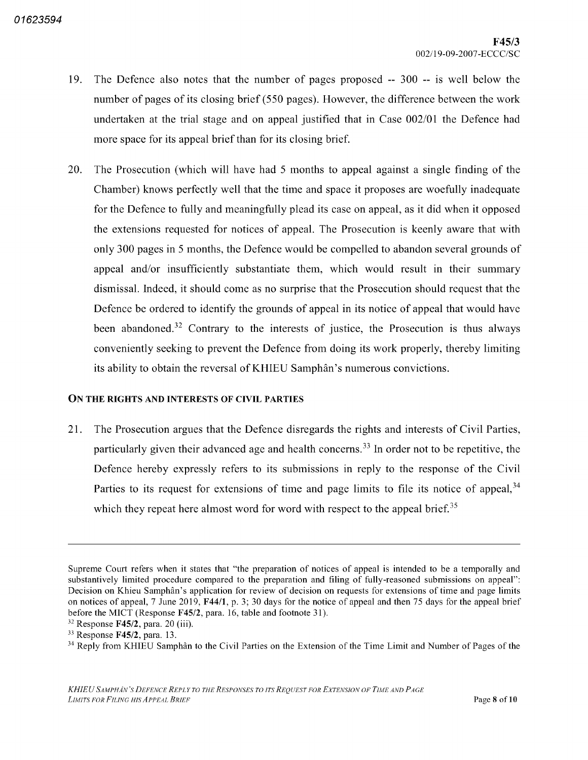- 19. The Defence also notes that the number of pages proposed  $-300 -$  is well below the number of pages of its closing brief  $(550 \text{ pages})$ . However, the difference between the work undertaken at the trial stage and on appeal justified that in Case 002/01 the Defence had more space for its appeal brief than for its closing brief.
- 20. The Prosecution (which will have had 5 months to appeal against a single finding of the Chamber) knows perfectly well that the time and space it proposes are woefully inadequate for the Defence to fully and meaningfully plead its case on appeal, as it did when it opposed the extensions requested for notices of appeal The Prosecution is keenly aware that with only 300 pages in 5 months, the Defence would be compelled to abandon several grounds of appeal and/or insufficiently substantiate them, which would result in their summary dismissal. Indeed, it should come as no surprise that the Prosecution should request that the Defence be ordered to identify the grounds of appeal in its notice of appeal that would have been abandoned.<sup>32</sup> Contrary to the interests of justice, the Prosecution is thus always conveniently seeking to prevent the Defence from doing its work properly, thereby limiting its ability to obtain the reversal of KHIEU Samphân's numerous convictions

#### On the rights and interests of civil parties

21. The Prosecution argues that the Defence disregards the rights and interests of Civil Parties, particularly given their advanced age and health concerns.<sup>33</sup> In order not to be repetitive, the Defence hereby expressly refers to its submissions in reply to the response of the Civil Parties to its request for extensions of time and page limits to file its notice of appeal,<sup>34</sup> which they repeat here almost word for word with respect to the appeal brief.<sup>35</sup>

Supreme Court refers when it states that "the preparation of notices of appeal is intended to be a temporally and substantively limited procedure compared to the preparation and filing of fully-reasoned submissions on appeal": Decision on Khieu Samphân's application for review of decision on requests for extensions of time and page limits on notices of appeal,  $7 \text{ June } 2019$ ,  $\text{F44/1}$ , p. 3; 30 days for the notice of appeal and then 75 days for the appeal brief before the MICT (Response  $F45/2$ , para. 16, table and footnote 31)

 $32$  Response F45/2, para. 20 (iii).

 $33$  Response F45/2, para. 13.

<sup>&</sup>lt;sup>34</sup> Reply from KHIEU Samphân to the Civil Parties on the Extension of the Time Limit and Number of Pages of the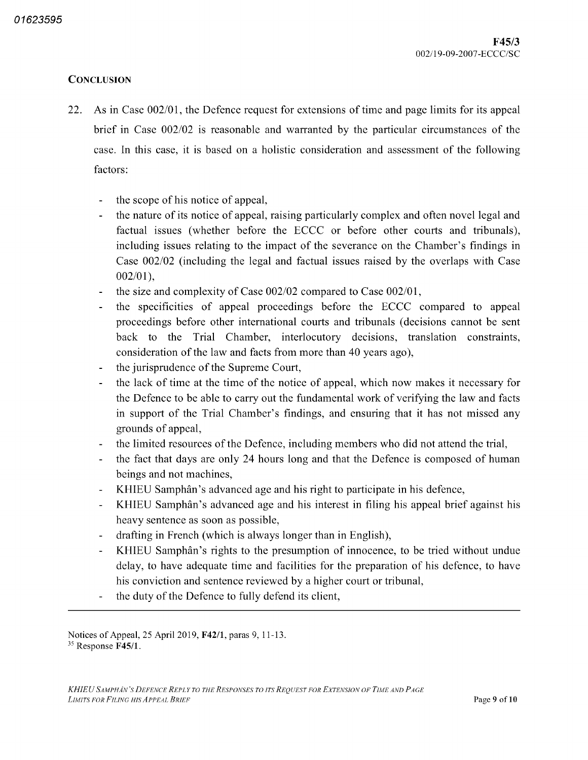# **CONCLUSION**

- 22. As in Case 002/01, the Defence request for extensions of time and page limits for its appeal brief in Case  $002/02$  is reasonable and warranted by the particular circumstances of the case. In this case, it is based on a holistic consideration and assessment of the following factors
	- the scope of his notice of appeal
	- the nature of its notice of appeal, raising particularly complex and often novel legal and factual issues (whether before the ECCC or before other courts and tribunals), including issues relating to the impact of the severance on the Chamber's findings in Case  $002/02$  (including the legal and factual issues raised by the overlaps with Case  $002/01$ ).
	- the size and complexity of Case  $002/02$  compared to Case  $002/01$ ,
	- the specificities of appeal proceedings before the ECCC compared to appeal proceedings before other international courts and tribunals decisions cannot be sent back to the Trial Chamber, interlocutory decisions, translation constraints, consideration of the law and facts from more than 40 years ago),
	- the jurisprudence of the Supreme Court
	- the lack of time at the time of the notice of appeal which now makes it necessary for  $\overline{\phantom{a}}$ the Defence to be able to carry out the fundamental work of verifying the law and facts in support of the Trial Chamber's findings, and ensuring that it has not missed any grounds of appeal
	- the limited resources of the Defence, including members who did not attend the trial,
	- the fact that days are only 24 hours long and that the Defence is composed of human beings and not machines
	- KHIEU Samphân's advanced age and his right to participate in his defence
	- KHIEU Samphân's advanced age and his interest in filing his appeal brief against his  $\blacksquare$ heavy sentence as soon as possible
	- drafting in French (which is always longer than in English),
	- KHIEU Samphân's rights to the presumption of innocence, to be tried without undue delay, to have adequate time and facilities for the preparation of his defence, to have his conviction and sentence reviewed by a higher court or tribunal,
	- the duty of the Defence to fully defend its client  $\overline{a}$

Notices of Appeal, 25 April 2019, F42/1, paras 9, 11-13. <sup>35</sup> Response F45